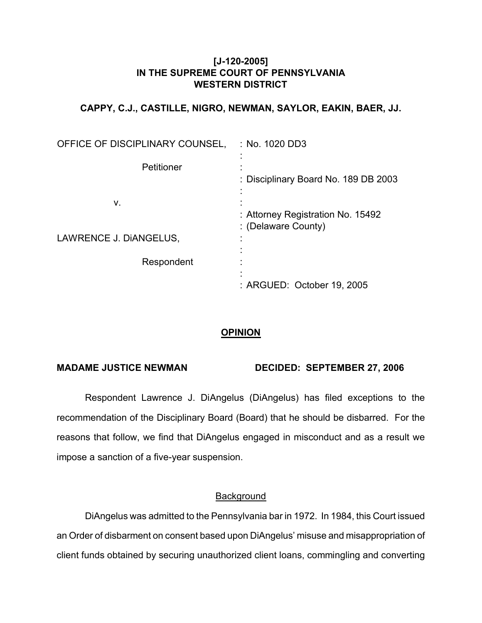### **[J-120-2005] IN THE SUPREME COURT OF PENNSYLVANIA WESTERN DISTRICT**

## **CAPPY, C.J., CASTILLE, NIGRO, NEWMAN, SAYLOR, EAKIN, BAER, JJ.**

| OFFICE OF DISCIPLINARY COUNSEL, | :No. 1020 DD3                                                 |
|---------------------------------|---------------------------------------------------------------|
| Petitioner                      | : Disciplinary Board No. 189 DB 2003                          |
| ۷.<br>LAWRENCE J. DIANGELUS,    | : Attorney Registration No. 15492<br>: (Delaware County)<br>٠ |
| Respondent                      |                                                               |
|                                 | : ARGUED: October 19, 2005                                    |

## **OPINION**

### **MADAME JUSTICE NEWMAN DECIDED: SEPTEMBER 27, 2006**

Respondent Lawrence J. DiAngelus (DiAngelus) has filed exceptions to the recommendation of the Disciplinary Board (Board) that he should be disbarred. For the reasons that follow, we find that DiAngelus engaged in misconduct and as a result we impose a sanction of a five-year suspension.

### Background

DiAngelus was admitted to the Pennsylvania bar in 1972. In 1984, this Court issued an Order of disbarment on consent based upon DiAngelus' misuse and misappropriation of client funds obtained by securing unauthorized client loans, commingling and converting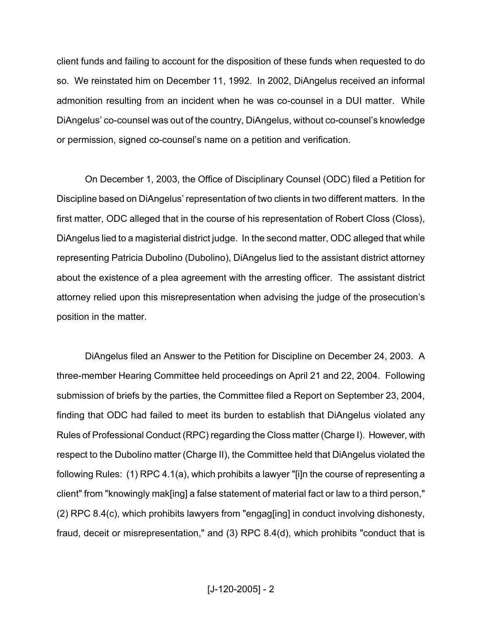client funds and failing to account for the disposition of these funds when requested to do so. We reinstated him on December 11, 1992. In 2002, DiAngelus received an informal admonition resulting from an incident when he was co-counsel in a DUI matter. While DiAngelus' co-counsel was out of the country, DiAngelus, without co-counsel's knowledge or permission, signed co-counsel's name on a petition and verification.

On December 1, 2003, the Office of Disciplinary Counsel (ODC) filed a Petition for Discipline based on DiAngelus' representation of two clients in two different matters. In the first matter, ODC alleged that in the course of his representation of Robert Closs (Closs), DiAngelus lied to a magisterial district judge. In the second matter, ODC alleged that while representing Patricia Dubolino (Dubolino), DiAngelus lied to the assistant district attorney about the existence of a plea agreement with the arresting officer. The assistant district attorney relied upon this misrepresentation when advising the judge of the prosecution's position in the matter.

DiAngelus filed an Answer to the Petition for Discipline on December 24, 2003. A three-member Hearing Committee held proceedings on April 21 and 22, 2004. Following submission of briefs by the parties, the Committee filed a Report on September 23, 2004, finding that ODC had failed to meet its burden to establish that DiAngelus violated any Rules of Professional Conduct (RPC) regarding the Closs matter (Charge I). However, with respect to the Dubolino matter (Charge II), the Committee held that DiAngelus violated the following Rules: (1) RPC 4.1(a), which prohibits a lawyer "[i]n the course of representing a client" from "knowingly mak[ing] a false statement of material fact or law to a third person," (2) RPC 8.4(c), which prohibits lawyers from "engag[ing] in conduct involving dishonesty, fraud, deceit or misrepresentation," and (3) RPC 8.4(d), which prohibits "conduct that is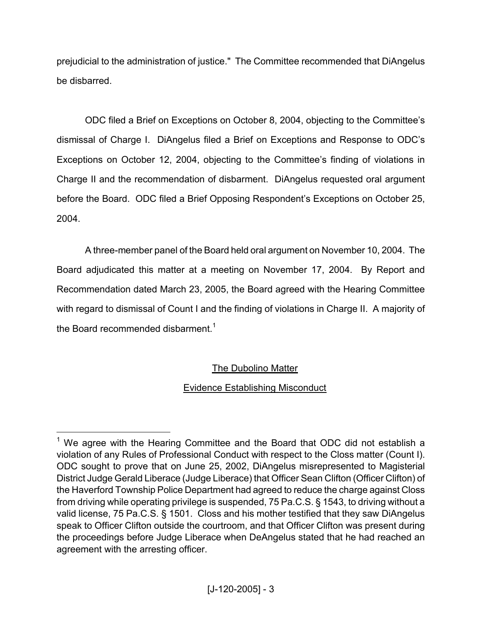prejudicial to the administration of justice." The Committee recommended that DiAngelus be disbarred.

ODC filed a Brief on Exceptions on October 8, 2004, objecting to the Committee's dismissal of Charge I. DiAngelus filed a Brief on Exceptions and Response to ODC's Exceptions on October 12, 2004, objecting to the Committee's finding of violations in Charge II and the recommendation of disbarment. DiAngelus requested oral argument before the Board. ODC filed a Brief Opposing Respondent's Exceptions on October 25, 2004.

A three-member panel of the Board held oral argument on November 10, 2004. The Board adjudicated this matter at a meeting on November 17, 2004. By Report and Recommendation dated March 23, 2005, the Board agreed with the Hearing Committee with regard to dismissal of Count I and the finding of violations in Charge II. A majority of the Board recommended disbarment.<sup>1</sup>

# The Dubolino Matter

# Evidence Establishing Misconduct

<sup>&</sup>lt;sup>1</sup> We agree with the Hearing Committee and the Board that ODC did not establish a violation of any Rules of Professional Conduct with respect to the Closs matter (Count I). ODC sought to prove that on June 25, 2002, DiAngelus misrepresented to Magisterial District Judge Gerald Liberace (Judge Liberace) that Officer Sean Clifton (Officer Clifton) of the Haverford Township Police Department had agreed to reduce the charge against Closs from driving while operating privilege is suspended, 75 Pa.C.S. § 1543, to driving without a valid license, 75 Pa.C.S. § 1501. Closs and his mother testified that they saw DiAngelus speak to Officer Clifton outside the courtroom, and that Officer Clifton was present during the proceedings before Judge Liberace when DeAngelus stated that he had reached an agreement with the arresting officer.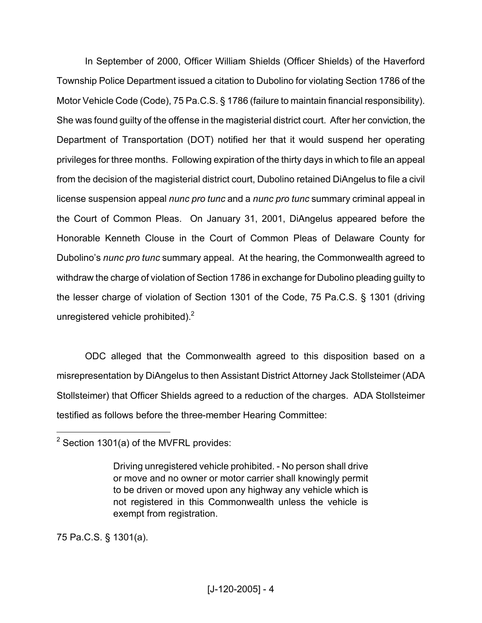In September of 2000, Officer William Shields (Officer Shields) of the Haverford Township Police Department issued a citation to Dubolino for violating Section 1786 of the Motor Vehicle Code (Code), 75 Pa.C.S. § 1786 (failure to maintain financial responsibility). She was found guilty of the offense in the magisterial district court. After her conviction, the Department of Transportation (DOT) notified her that it would suspend her operating privileges for three months. Following expiration of the thirty days in which to file an appeal from the decision of the magisterial district court, Dubolino retained DiAngelus to file a civil license suspension appeal *nunc pro tunc* and a *nunc pro tunc* summary criminal appeal in the Court of Common Pleas. On January 31, 2001, DiAngelus appeared before the Honorable Kenneth Clouse in the Court of Common Pleas of Delaware County for Dubolino's *nunc pro tunc* summary appeal. At the hearing, the Commonwealth agreed to withdraw the charge of violation of Section 1786 in exchange for Dubolino pleading guilty to the lesser charge of violation of Section 1301 of the Code, 75 Pa.C.S. § 1301 (driving unregistered vehicle prohibited). $2^2$ 

ODC alleged that the Commonwealth agreed to this disposition based on a misrepresentation by DiAngelus to then Assistant District Attorney Jack Stollsteimer (ADA Stollsteimer) that Officer Shields agreed to a reduction of the charges. ADA Stollsteimer testified as follows before the three-member Hearing Committee:

75 Pa.C.S. § 1301(a).

<sup>2</sup> Section 1301(a) of the MVFRL provides:

Driving unregistered vehicle prohibited. - No person shall drive or move and no owner or motor carrier shall knowingly permit to be driven or moved upon any highway any vehicle which is not registered in this Commonwealth unless the vehicle is exempt from registration.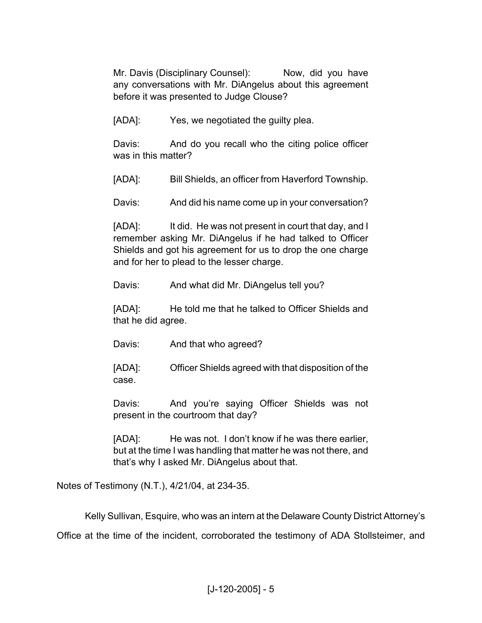Mr. Davis (Disciplinary Counsel): Now, did you have any conversations with Mr. DiAngelus about this agreement before it was presented to Judge Clouse?

[ADA]: Yes, we negotiated the guilty plea.

Davis: And do you recall who the citing police officer was in this matter?

[ADA]: Bill Shields, an officer from Haverford Township.

Davis: And did his name come up in your conversation?

[ADA]: It did. He was not present in court that day, and I remember asking Mr. DiAngelus if he had talked to Officer Shields and got his agreement for us to drop the one charge and for her to plead to the lesser charge.

Davis: And what did Mr. DiAngelus tell you?

[ADA]: He told me that he talked to Officer Shields and that he did agree.

Davis: And that who agreed?

[ADA]: Officer Shields agreed with that disposition of the case.

Davis: And you're saying Officer Shields was not present in the courtroom that day?

[ADA]: He was not. I don't know if he was there earlier, but at the time I was handling that matter he was not there, and that's why I asked Mr. DiAngelus about that.

Notes of Testimony (N.T.), 4/21/04, at 234-35.

Kelly Sullivan, Esquire, who was an intern at the Delaware County District Attorney's

Office at the time of the incident, corroborated the testimony of ADA Stollsteimer, and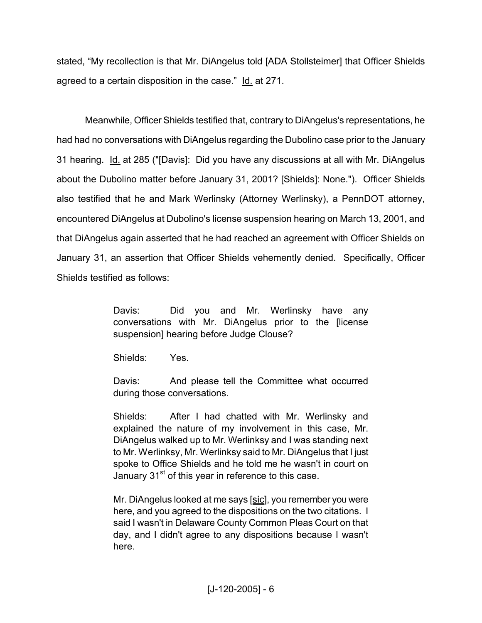stated, "My recollection is that Mr. DiAngelus told [ADA Stollsteimer] that Officer Shields agreed to a certain disposition in the case." Id. at 271.

Meanwhile, Officer Shields testified that, contrary to DiAngelus's representations, he had had no conversations with DiAngelus regarding the Dubolino case prior to the January 31 hearing. Id. at 285 ("[Davis]: Did you have any discussions at all with Mr. DiAngelus about the Dubolino matter before January 31, 2001? [Shields]: None."). Officer Shields also testified that he and Mark Werlinsky (Attorney Werlinsky), a PennDOT attorney, encountered DiAngelus at Dubolino's license suspension hearing on March 13, 2001, and that DiAngelus again asserted that he had reached an agreement with Officer Shields on January 31, an assertion that Officer Shields vehemently denied. Specifically, Officer Shields testified as follows:

> Davis: Did you and Mr. Werlinsky have any conversations with Mr. DiAngelus prior to the [license suspension] hearing before Judge Clouse?

Shields: Yes.

Davis: And please tell the Committee what occurred during those conversations.

Shields: After I had chatted with Mr. Werlinsky and explained the nature of my involvement in this case, Mr. DiAngelus walked up to Mr. Werlinksy and I was standing next to Mr. Werlinksy, Mr. Werlinksy said to Mr. DiAngelus that I just spoke to Office Shields and he told me he wasn't in court on January 31<sup>st</sup> of this year in reference to this case.

Mr. DiAngelus looked at me says [sic], you remember you were here, and you agreed to the dispositions on the two citations. I said I wasn't in Delaware County Common Pleas Court on that day, and I didn't agree to any dispositions because I wasn't here.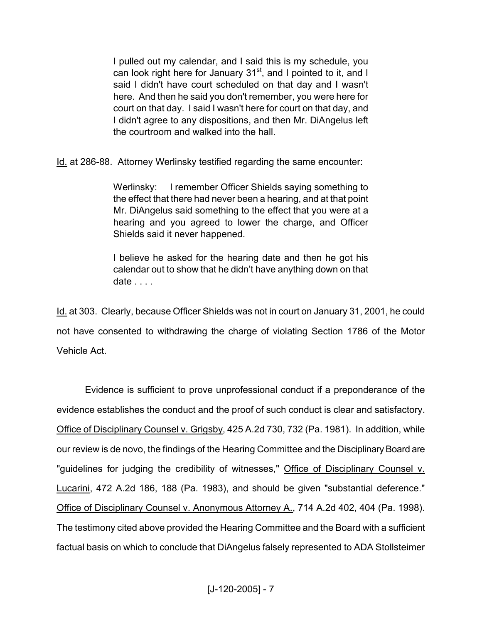I pulled out my calendar, and I said this is my schedule, you can look right here for January 31<sup>st</sup>, and I pointed to it, and I said I didn't have court scheduled on that day and I wasn't here. And then he said you don't remember, you were here for court on that day. I said I wasn't here for court on that day, and I didn't agree to any dispositions, and then Mr. DiAngelus left the courtroom and walked into the hall.

Id. at 286-88. Attorney Werlinsky testified regarding the same encounter:

Werlinsky: I remember Officer Shields saying something to the effect that there had never been a hearing, and at that point Mr. DiAngelus said something to the effect that you were at a hearing and you agreed to lower the charge, and Officer Shields said it never happened.

I believe he asked for the hearing date and then he got his calendar out to show that he didn't have anything down on that date . . . .

Id. at 303. Clearly, because Officer Shields was not in court on January 31, 2001, he could not have consented to withdrawing the charge of violating Section 1786 of the Motor Vehicle Act.

Evidence is sufficient to prove unprofessional conduct if a preponderance of the evidence establishes the conduct and the proof of such conduct is clear and satisfactory. Office of Disciplinary Counsel v. Grigsby, 425 A.2d 730, 732 (Pa. 1981). In addition, while our review is de novo, the findings of the Hearing Committee and the DisciplinaryBoard are "guidelines for judging the credibility of witnesses," Office of Disciplinary Counsel v. Lucarini, 472 A.2d 186, 188 (Pa. 1983), and should be given "substantial deference." Office of Disciplinary Counsel v. Anonymous Attorney A., 714 A.2d 402, 404 (Pa. 1998). The testimony cited above provided the Hearing Committee and the Board with a sufficient factual basis on which to conclude that DiAngelus falsely represented to ADA Stollsteimer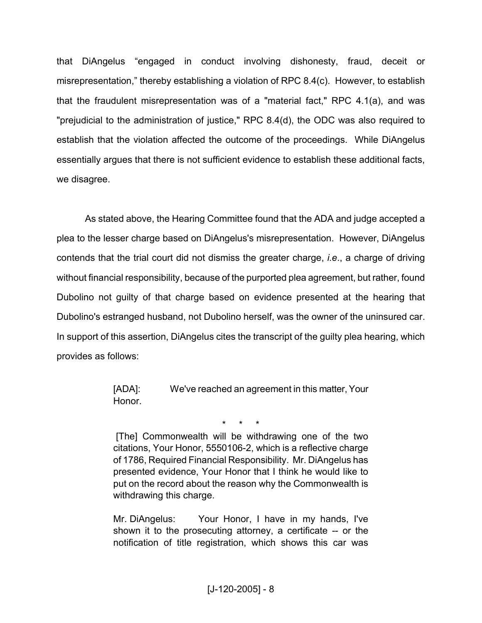that DiAngelus "engaged in conduct involving dishonesty, fraud, deceit or misrepresentation," thereby establishing a violation of RPC 8.4(c). However, to establish that the fraudulent misrepresentation was of a "material fact," RPC 4.1(a), and was "prejudicial to the administration of justice," RPC 8.4(d), the ODC was also required to establish that the violation affected the outcome of the proceedings. While DiAngelus essentially argues that there is not sufficient evidence to establish these additional facts, we disagree.

As stated above, the Hearing Committee found that the ADA and judge accepted a plea to the lesser charge based on DiAngelus's misrepresentation. However, DiAngelus contends that the trial court did not dismiss the greater charge, *i.e*., a charge of driving without financial responsibility, because of the purported plea agreement, but rather, found Dubolino not guilty of that charge based on evidence presented at the hearing that Dubolino's estranged husband, not Dubolino herself, was the owner of the uninsured car. In support of this assertion, DiAngelus cites the transcript of the guilty plea hearing, which provides as follows:

> [ADA]: We've reached an agreement in this matter, Your Honor.

> > \* \* \*

[The] Commonwealth will be withdrawing one of the two citations, Your Honor, 5550106-2, which is a reflective charge of 1786, Required Financial Responsibility. Mr. DiAngelus has presented evidence, Your Honor that I think he would like to put on the record about the reason why the Commonwealth is withdrawing this charge.

Mr. DiAngelus: Your Honor, I have in my hands, I've shown it to the prosecuting attorney, a certificate -- or the notification of title registration, which shows this car was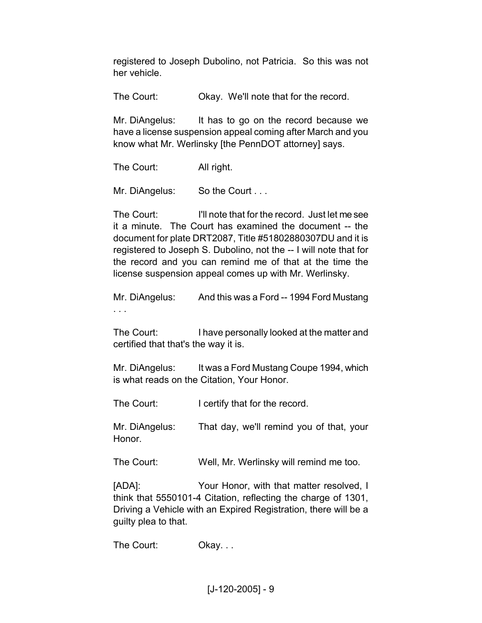registered to Joseph Dubolino, not Patricia. So this was not her vehicle.

The Court: Okay. We'll note that for the record.

Mr. DiAngelus: It has to go on the record because we have a license suspension appeal coming after March and you know what Mr. Werlinsky [the PennDOT attorney] says.

The Court: All right.

Mr. DiAngelus: So the Court ...

The Court: I'll note that for the record. Just let me see it a minute. The Court has examined the document -- the document for plate DRT2087, Title #51802880307DU and it is registered to Joseph S. Dubolino, not the -- I will note that for the record and you can remind me of that at the time the license suspension appeal comes up with Mr. Werlinsky.

Mr. DiAngelus: And this was a Ford -- 1994 Ford Mustang . . .

The Court: I have personally looked at the matter and certified that that's the way it is.

Mr. DiAngelus: It was a Ford Mustang Coupe 1994, which is what reads on the Citation, Your Honor.

The Court: I certify that for the record.

Mr. DiAngelus: That day, we'll remind you of that, your Honor.

The Court: Well, Mr. Werlinsky will remind me too.

[ADA]: Your Honor, with that matter resolved, I think that 5550101-4 Citation, reflecting the charge of 1301, Driving a Vehicle with an Expired Registration, there will be a guilty plea to that.

The Court: Okay...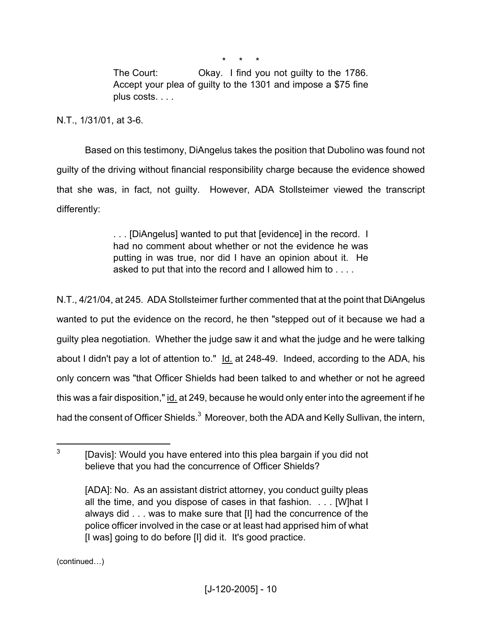\* \* \*

The Court: Okay. I find you not guilty to the 1786. Accept your plea of guilty to the 1301 and impose a \$75 fine plus costs. . . .

N.T., 1/31/01, at 3-6.

Based on this testimony, DiAngelus takes the position that Dubolino was found not guilty of the driving without financial responsibility charge because the evidence showed that she was, in fact, not guilty. However, ADA Stollsteimer viewed the transcript differently:

> . . . [DiAngelus] wanted to put that [evidence] in the record. I had no comment about whether or not the evidence he was putting in was true, nor did I have an opinion about it. He asked to put that into the record and I allowed him to . . . .

N.T., 4/21/04, at 245. ADA Stollsteimer further commented that at the point that DiAngelus wanted to put the evidence on the record, he then "stepped out of it because we had a guilty plea negotiation. Whether the judge saw it and what the judge and he were talking about I didn't pay a lot of attention to." Id. at 248-49. Indeed, according to the ADA, his only concern was "that Officer Shields had been talked to and whether or not he agreed this was a fair disposition," id. at 249, because he would only enter into the agreement if he had the consent of Officer Shields.<sup>3</sup> Moreover, both the ADA and Kelly Sullivan, the intern,

(continued…)

<sup>3</sup> [Davis]: Would you have entered into this plea bargain if you did not believe that you had the concurrence of Officer Shields?

<sup>[</sup>ADA]: No. As an assistant district attorney, you conduct guilty pleas all the time, and you dispose of cases in that fashion. . . . [W]hat I always did . . . was to make sure that [I] had the concurrence of the police officer involved in the case or at least had apprised him of what [I was] going to do before [I] did it. It's good practice.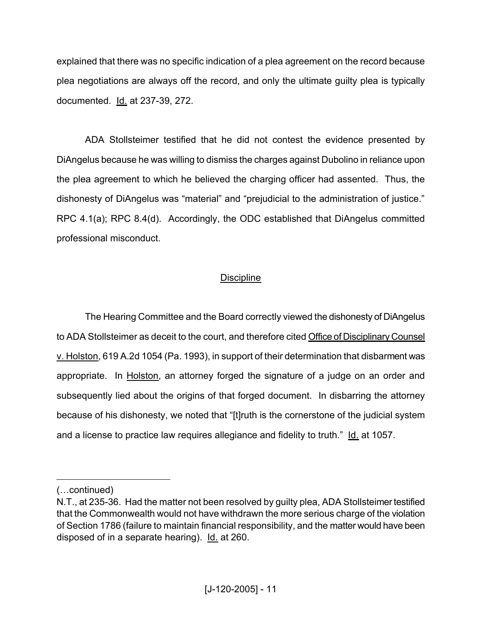explained that there was no specific indication of a plea agreement on the record because plea negotiations are always off the record, and only the ultimate guilty plea is typically documented. Id. at 237-39, 272.

ADA Stollsteimer testified that he did not contest the evidence presented by DiAngelus because he was willing to dismiss the charges against Dubolino in reliance upon the plea agreement to which he believed the charging officer had assented. Thus, the dishonesty of DiAngelus was "material" and "prejudicial to the administration of justice." RPC 4.1(a); RPC 8.4(d). Accordingly, the ODC established that DiAngelus committed professional misconduct.

## **Discipline**

The Hearing Committee and the Board correctly viewed the dishonesty of DiAngelus to ADA Stollsteimer as deceit to the court, and therefore cited Office of Disciplinary Counsel v. Holston, 619 A.2d 1054 (Pa. 1993), in support of their determination that disbarment was appropriate. In Holston, an attorney forged the signature of a judge on an order and subsequently lied about the origins of that forged document. In disbarring the attorney because of his dishonesty, we noted that "[t]ruth is the cornerstone of the judicial system and a license to practice law requires allegiance and fidelity to truth." Id. at 1057.

<sup>(…</sup>continued)

N.T., at 235-36. Had the matter not been resolved by guilty plea, ADA Stollsteimer testified that the Commonwealth would not have withdrawn the more serious charge of the violation of Section 1786 (failure to maintain financial responsibility, and the matter would have been disposed of in a separate hearing). Id. at 260.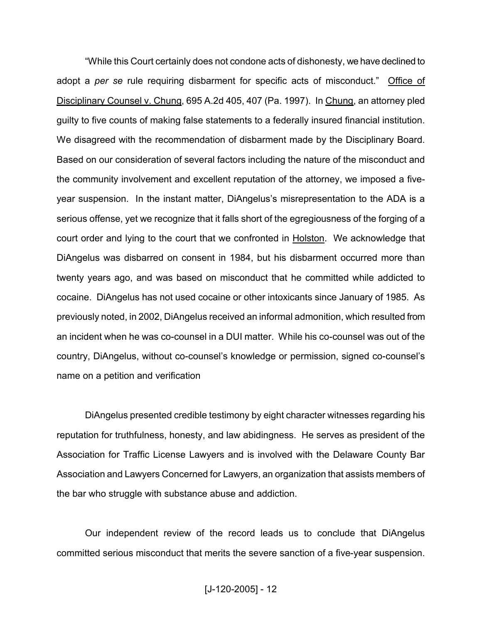"While this Court certainly does not condone acts of dishonesty, we have declined to adopt a *per se* rule requiring disbarment for specific acts of misconduct." Office of Disciplinary Counsel v. Chung, 695 A.2d 405, 407 (Pa. 1997). In Chung, an attorney pled guilty to five counts of making false statements to a federally insured financial institution. We disagreed with the recommendation of disbarment made by the Disciplinary Board. Based on our consideration of several factors including the nature of the misconduct and the community involvement and excellent reputation of the attorney, we imposed a fiveyear suspension. In the instant matter, DiAngelus's misrepresentation to the ADA is a serious offense, yet we recognize that it falls short of the egregiousness of the forging of a court order and lying to the court that we confronted in Holston. We acknowledge that DiAngelus was disbarred on consent in 1984, but his disbarment occurred more than twenty years ago, and was based on misconduct that he committed while addicted to cocaine. DiAngelus has not used cocaine or other intoxicants since January of 1985. As previously noted, in 2002, DiAngelus received an informal admonition, which resulted from an incident when he was co-counsel in a DUI matter. While his co-counsel was out of the country, DiAngelus, without co-counsel's knowledge or permission, signed co-counsel's name on a petition and verification

DiAngelus presented credible testimony by eight character witnesses regarding his reputation for truthfulness, honesty, and law abidingness. He serves as president of the Association for Traffic License Lawyers and is involved with the Delaware County Bar Association and Lawyers Concerned for Lawyers, an organization that assists members of the bar who struggle with substance abuse and addiction.

Our independent review of the record leads us to conclude that DiAngelus committed serious misconduct that merits the severe sanction of a five-year suspension.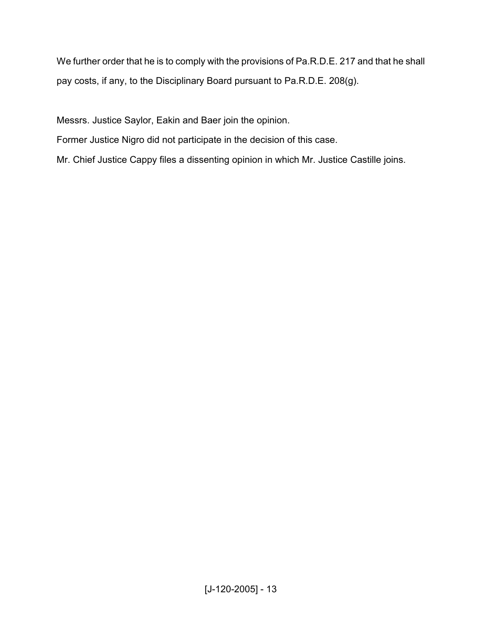We further order that he is to comply with the provisions of Pa.R.D.E. 217 and that he shall pay costs, if any, to the Disciplinary Board pursuant to Pa.R.D.E. 208(g).

Messrs. Justice Saylor, Eakin and Baer join the opinion.

Former Justice Nigro did not participate in the decision of this case.

Mr. Chief Justice Cappy files a dissenting opinion in which Mr. Justice Castille joins.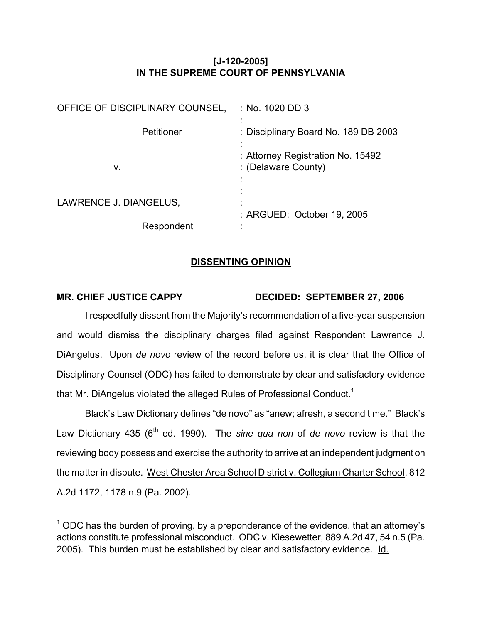## **[J-120-2005] IN THE SUPREME COURT OF PENNSYLVANIA**

| OFFICE OF DISCIPLINARY COUNSEL, | $\therefore$ No. 1020 DD 3                               |
|---------------------------------|----------------------------------------------------------|
| Petitioner                      | : Disciplinary Board No. 189 DB 2003                     |
| ν.                              | : Attorney Registration No. 15492<br>: (Delaware County) |
| LAWRENCE J. DIANGELUS,          | : ARGUED: October 19, 2005                               |
| Respondent                      |                                                          |

### **DISSENTING OPINION**

## **MR. CHIEF JUSTICE CAPPY DECIDED: SEPTEMBER 27, 2006**

I respectfully dissent from the Majority's recommendation of a five-year suspension and would dismiss the disciplinary charges filed against Respondent Lawrence J. DiAngelus. Upon *de novo* review of the record before us, it is clear that the Office of Disciplinary Counsel (ODC) has failed to demonstrate by clear and satisfactory evidence that Mr. DiAngelus violated the alleged Rules of Professional Conduct.<sup>1</sup>

Black's Law Dictionary defines "de novo" as "anew; afresh, a second time." Black's Law Dictionary 435 (6<sup>th</sup> ed. 1990). The *sine qua non* of *de novo* review is that the reviewing body possess and exercise the authority to arrive at an independent judgment on the matter in dispute. West Chester Area School District v. Collegium Charter School, 812 A.2d 1172, 1178 n.9 (Pa. 2002).

 $1$  ODC has the burden of proving, by a preponderance of the evidence, that an attorney's actions constitute professional misconduct. ODC v. Kiesewetter, 889 A.2d 47, 54 n.5 (Pa. 2005). This burden must be established by clear and satisfactory evidence. Id.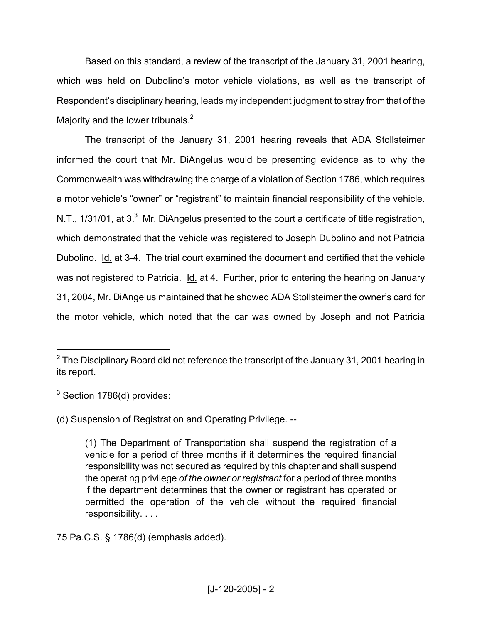Based on this standard, a review of the transcript of the January 31, 2001 hearing, which was held on Dubolino's motor vehicle violations, as well as the transcript of Respondent's disciplinary hearing, leads my independent judgment to stray fromthat of the Majority and the lower tribunals. $<sup>2</sup>$ </sup>

The transcript of the January 31, 2001 hearing reveals that ADA Stollsteimer informed the court that Mr. DiAngelus would be presenting evidence as to why the Commonwealth was withdrawing the charge of a violation of Section 1786, which requires a motor vehicle's "owner" or "registrant" to maintain financial responsibility of the vehicle. N.T., 1/31/01, at 3.<sup>3</sup> Mr. DiAngelus presented to the court a certificate of title registration, which demonstrated that the vehicle was registered to Joseph Dubolino and not Patricia Dubolino. Id. at 3-4. The trial court examined the document and certified that the vehicle was not registered to Patricia. Id. at 4. Further, prior to entering the hearing on January 31, 2004, Mr. DiAngelus maintained that he showed ADA Stollsteimer the owner's card for the motor vehicle, which noted that the car was owned by Joseph and not Patricia

<sup>3</sup> Section 1786(d) provides:

(d) Suspension of Registration and Operating Privilege. --

75 Pa.C.S. § 1786(d) (emphasis added).

 $2$  The Disciplinary Board did not reference the transcript of the January 31, 2001 hearing in its report.

<sup>(1)</sup> The Department of Transportation shall suspend the registration of a vehicle for a period of three months if it determines the required financial responsibility was not secured as required by this chapter and shall suspend the operating privilege *of the owner or registrant* for a period of three months if the department determines that the owner or registrant has operated or permitted the operation of the vehicle without the required financial responsibility. . . .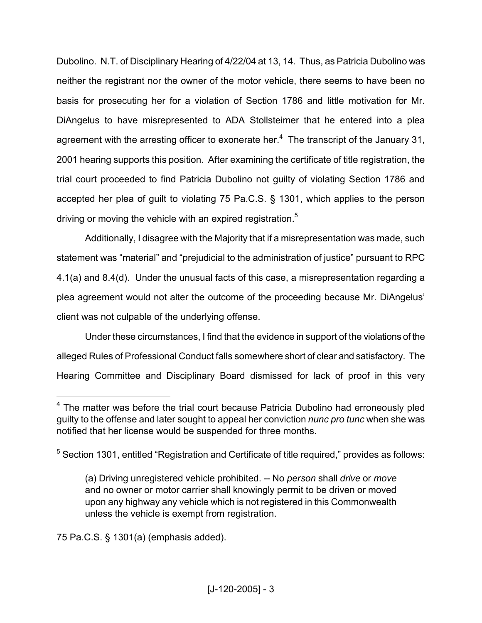Dubolino. N.T. of Disciplinary Hearing of 4/22/04 at 13, 14. Thus, as Patricia Dubolino was neither the registrant nor the owner of the motor vehicle, there seems to have been no basis for prosecuting her for a violation of Section 1786 and little motivation for Mr. DiAngelus to have misrepresented to ADA Stollsteimer that he entered into a plea agreement with the arresting officer to exonerate her.<sup>4</sup> The transcript of the January 31, 2001 hearing supports this position. After examining the certificate of title registration, the trial court proceeded to find Patricia Dubolino not guilty of violating Section 1786 and accepted her plea of guilt to violating 75 Pa.C.S. § 1301, which applies to the person driving or moving the vehicle with an expired registration.<sup>5</sup>

Additionally, I disagree with the Majority that if a misrepresentation was made, such statement was "material" and "prejudicial to the administration of justice" pursuant to RPC 4.1(a) and 8.4(d). Under the unusual facts of this case, a misrepresentation regarding a plea agreement would not alter the outcome of the proceeding because Mr. DiAngelus' client was not culpable of the underlying offense.

Under these circumstances, I find that the evidence in support of the violations of the alleged Rules of Professional Conduct falls somewhere short of clear and satisfactory. The Hearing Committee and Disciplinary Board dismissed for lack of proof in this very

75 Pa.C.S. § 1301(a) (emphasis added).

<sup>&</sup>lt;sup>4</sup> The matter was before the trial court because Patricia Dubolino had erroneously pled guilty to the offense and later sought to appeal her conviction *nunc pro tunc* when she was notified that her license would be suspended for three months.

<sup>&</sup>lt;sup>5</sup> Section 1301, entitled "Registration and Certificate of title required," provides as follows:

<sup>(</sup>a) Driving unregistered vehicle prohibited. -- No *person* shall *drive* or *move* and no owner or motor carrier shall knowingly permit to be driven or moved upon any highway any vehicle which is not registered in this Commonwealth unless the vehicle is exempt from registration.